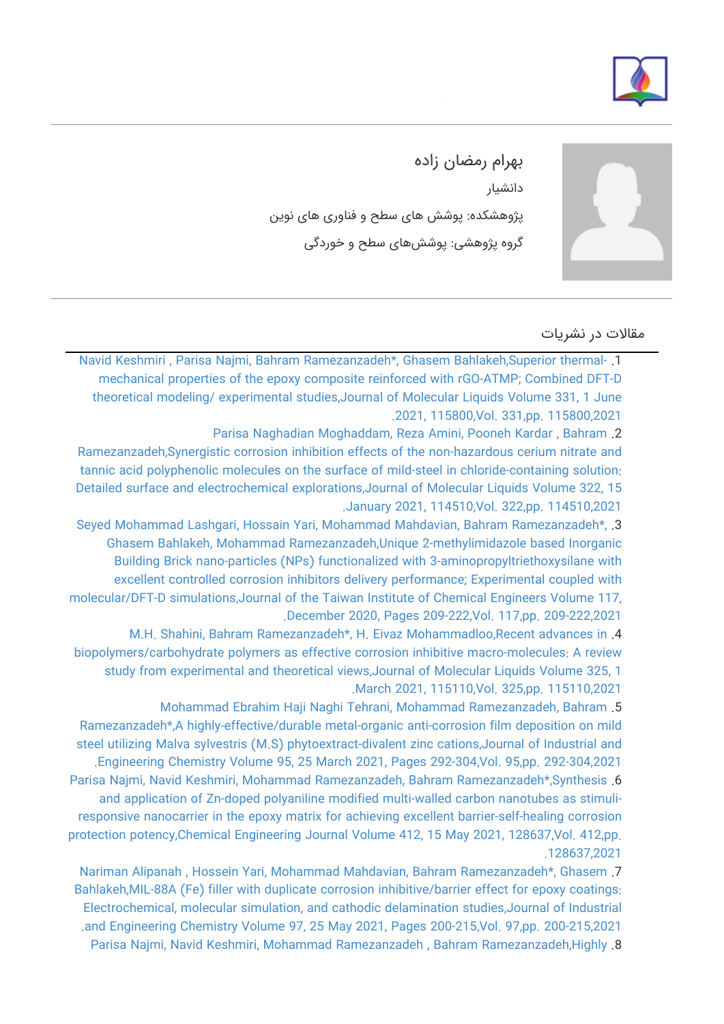



بهرام رمضان زاده دانشیار پژوهشکده: پوشش های سطح و فناوری های نوین گروه پژوهشی: پوششهای سطح و خوردگی

## مقالات در نشریات

[Navid Keshmiri , Parisa Najmi, Bahram Ramezanzadeh\\*, Ghasem Bahlakeh,Superior thermal-](https://faculty.icrc.ac.ir/bahram-ramezanzadeh/fa/articlesInPublications/908/superior-thermal-mechanical-properties-of-the-epoxy-composite-reinforced-with-rgo-atmp-combined-dft-d-theoretical-modeling-experimental-studies) .1 [mechanical properties of the epoxy composite reinforced with rGO-ATMP; Combined DFT-D](https://faculty.icrc.ac.ir/bahram-ramezanzadeh/fa/articlesInPublications/908/superior-thermal-mechanical-properties-of-the-epoxy-composite-reinforced-with-rgo-atmp-combined-dft-d-theoretical-modeling-experimental-studies) [theoretical modeling/ experimental studies,Journal of Molecular Liquids Volume 331, 1 June](https://faculty.icrc.ac.ir/bahram-ramezanzadeh/fa/articlesInPublications/908/superior-thermal-mechanical-properties-of-the-epoxy-composite-reinforced-with-rgo-atmp-combined-dft-d-theoretical-modeling-experimental-studies) [.2021, 115800,Vol. 331,pp. 115800,2021](https://faculty.icrc.ac.ir/bahram-ramezanzadeh/fa/articlesInPublications/908/superior-thermal-mechanical-properties-of-the-epoxy-composite-reinforced-with-rgo-atmp-combined-dft-d-theoretical-modeling-experimental-studies)

[Parisa Naghadian Moghaddam, Reza Amini, Pooneh Kardar , Bahram](https://faculty.icrc.ac.ir/bahram-ramezanzadeh/fa/articlesInPublications/896/synergistic-corrosion-inhibition-effects-of-the-non-hazardous-cerium-nitrate-and-tannic-acid-polyphenolic-molecules-on-the-surface-of-mild-steel-in-chloride-containing-solution-detailed-surface-and-electrochemical-explorations) .2

[Ramezanzadeh,Synergistic corrosion inhibition effects of the non-hazardous cerium nitrate and](https://faculty.icrc.ac.ir/bahram-ramezanzadeh/fa/articlesInPublications/896/synergistic-corrosion-inhibition-effects-of-the-non-hazardous-cerium-nitrate-and-tannic-acid-polyphenolic-molecules-on-the-surface-of-mild-steel-in-chloride-containing-solution-detailed-surface-and-electrochemical-explorations) [tannic acid polyphenolic molecules on the surface of mild-steel in chloride-containing solution:](https://faculty.icrc.ac.ir/bahram-ramezanzadeh/fa/articlesInPublications/896/synergistic-corrosion-inhibition-effects-of-the-non-hazardous-cerium-nitrate-and-tannic-acid-polyphenolic-molecules-on-the-surface-of-mild-steel-in-chloride-containing-solution-detailed-surface-and-electrochemical-explorations) [Detailed surface and electrochemical explorations,Journal of Molecular Liquids Volume 322, 15](https://faculty.icrc.ac.ir/bahram-ramezanzadeh/fa/articlesInPublications/896/synergistic-corrosion-inhibition-effects-of-the-non-hazardous-cerium-nitrate-and-tannic-acid-polyphenolic-molecules-on-the-surface-of-mild-steel-in-chloride-containing-solution-detailed-surface-and-electrochemical-explorations) [.January 2021, 114510,Vol. 322,pp. 114510,2021](https://faculty.icrc.ac.ir/bahram-ramezanzadeh/fa/articlesInPublications/896/synergistic-corrosion-inhibition-effects-of-the-non-hazardous-cerium-nitrate-and-tannic-acid-polyphenolic-molecules-on-the-surface-of-mild-steel-in-chloride-containing-solution-detailed-surface-and-electrochemical-explorations)

[Seyed Mohammad Lashgari, Hossain Yari, Mohammad Mahdavian, Bahram Ramezanzadeh\\*,](https://faculty.icrc.ac.ir/bahram-ramezanzadeh/fa/articlesInPublications/897/unique-2-methylimidazole-based-inorganic-building-brick-nano-particles-nps-functionalized-with-3-aminopropyltriethoxysilane-with-excellent-controlled-corrosion-inhibitors-delivery-performance-experimental-coupled-with-molecular-dft-d-simulations) .3 [Ghasem Bahlakeh, Mohammad Ramezanzadeh,Unique 2-methylimidazole based Inorganic](https://faculty.icrc.ac.ir/bahram-ramezanzadeh/fa/articlesInPublications/897/unique-2-methylimidazole-based-inorganic-building-brick-nano-particles-nps-functionalized-with-3-aminopropyltriethoxysilane-with-excellent-controlled-corrosion-inhibitors-delivery-performance-experimental-coupled-with-molecular-dft-d-simulations) [Building Brick nano-particles \(NPs\) functionalized with 3-aminopropyltriethoxysilane with](https://faculty.icrc.ac.ir/bahram-ramezanzadeh/fa/articlesInPublications/897/unique-2-methylimidazole-based-inorganic-building-brick-nano-particles-nps-functionalized-with-3-aminopropyltriethoxysilane-with-excellent-controlled-corrosion-inhibitors-delivery-performance-experimental-coupled-with-molecular-dft-d-simulations) [excellent controlled corrosion inhibitors delivery performance; Experimental coupled with](https://faculty.icrc.ac.ir/bahram-ramezanzadeh/fa/articlesInPublications/897/unique-2-methylimidazole-based-inorganic-building-brick-nano-particles-nps-functionalized-with-3-aminopropyltriethoxysilane-with-excellent-controlled-corrosion-inhibitors-delivery-performance-experimental-coupled-with-molecular-dft-d-simulations) [molecular/DFT-D simulations,Journal of the Taiwan Institute of Chemical Engineers Volume 117,](https://faculty.icrc.ac.ir/bahram-ramezanzadeh/fa/articlesInPublications/897/unique-2-methylimidazole-based-inorganic-building-brick-nano-particles-nps-functionalized-with-3-aminopropyltriethoxysilane-with-excellent-controlled-corrosion-inhibitors-delivery-performance-experimental-coupled-with-molecular-dft-d-simulations) [.December 2020, Pages 209-222,Vol. 117,pp. 209-222,2021](https://faculty.icrc.ac.ir/bahram-ramezanzadeh/fa/articlesInPublications/897/unique-2-methylimidazole-based-inorganic-building-brick-nano-particles-nps-functionalized-with-3-aminopropyltriethoxysilane-with-excellent-controlled-corrosion-inhibitors-delivery-performance-experimental-coupled-with-molecular-dft-d-simulations)

[M.H. Shahini, Bahram Ramezanzadeh\\*, H. Eivaz Mohammadloo,Recent advances in](https://faculty.icrc.ac.ir/bahram-ramezanzadeh/fa/articlesInPublications/898/recent-advances-in-biopolymers-carbohydrate-polymers-as-effective-corrosion-inhibitive-macro-molecules-a-review-study-from-experimental-and-theoretical-views) .4 [biopolymers/carbohydrate polymers as effective corrosion inhibitive macro-molecules: A review](https://faculty.icrc.ac.ir/bahram-ramezanzadeh/fa/articlesInPublications/898/recent-advances-in-biopolymers-carbohydrate-polymers-as-effective-corrosion-inhibitive-macro-molecules-a-review-study-from-experimental-and-theoretical-views) [study from experimental and theoretical views,Journal of Molecular Liquids Volume 325, 1](https://faculty.icrc.ac.ir/bahram-ramezanzadeh/fa/articlesInPublications/898/recent-advances-in-biopolymers-carbohydrate-polymers-as-effective-corrosion-inhibitive-macro-molecules-a-review-study-from-experimental-and-theoretical-views) [.March 2021, 115110,Vol. 325,pp. 115110,2021](https://faculty.icrc.ac.ir/bahram-ramezanzadeh/fa/articlesInPublications/898/recent-advances-in-biopolymers-carbohydrate-polymers-as-effective-corrosion-inhibitive-macro-molecules-a-review-study-from-experimental-and-theoretical-views)

[Mohammad Ebrahim Haji Naghi Tehrani, Mohammad Ramezanzadeh, Bahram](https://faculty.icrc.ac.ir/bahram-ramezanzadeh/fa/articlesInPublications/899/a-highly-effective-durable-metal-organic-anti-corrosion-film-deposition-on-mild-steel-utilizing-malva-sylvestris-m.s-phytoextract-divalent-zinc-cations) .5 [Ramezanzadeh\\*,A highly-effective/durable metal-organic anti-corrosion film deposition on mild](https://faculty.icrc.ac.ir/bahram-ramezanzadeh/fa/articlesInPublications/899/a-highly-effective-durable-metal-organic-anti-corrosion-film-deposition-on-mild-steel-utilizing-malva-sylvestris-m.s-phytoextract-divalent-zinc-cations) [steel utilizing Malva sylvestris \(M.S\) phytoextract-divalent zinc cations,Journal of Industrial and](https://faculty.icrc.ac.ir/bahram-ramezanzadeh/fa/articlesInPublications/899/a-highly-effective-durable-metal-organic-anti-corrosion-film-deposition-on-mild-steel-utilizing-malva-sylvestris-m.s-phytoextract-divalent-zinc-cations) [.Engineering Chemistry Volume 95, 25 March 2021, Pages 292-304,Vol. 95,pp. 292-304,2021](https://faculty.icrc.ac.ir/bahram-ramezanzadeh/fa/articlesInPublications/899/a-highly-effective-durable-metal-organic-anti-corrosion-film-deposition-on-mild-steel-utilizing-malva-sylvestris-m.s-phytoextract-divalent-zinc-cations) [Parisa Najmi, Navid Keshmiri, Mohammad Ramezanzadeh, Bahram Ramezanzadeh\\*,Synthesis](https://faculty.icrc.ac.ir/bahram-ramezanzadeh/fa/articlesInPublications/900/synthesis-and-application-of-zn-doped-polyaniline-modified-multi-walled-carbon-nanotubes-as-stimuli-responsive-nanocarrier-in-the-epoxy-matrix-for-achieving-excellent-barrier-self-healing-corrosion-protection-potency) .6 [and application of Zn-doped polyaniline modified multi-walled carbon nanotubes as stimuli](https://faculty.icrc.ac.ir/bahram-ramezanzadeh/fa/articlesInPublications/900/synthesis-and-application-of-zn-doped-polyaniline-modified-multi-walled-carbon-nanotubes-as-stimuli-responsive-nanocarrier-in-the-epoxy-matrix-for-achieving-excellent-barrier-self-healing-corrosion-protection-potency)[responsive nanocarrier in the epoxy matrix for achieving excellent barrier-self-healing corrosion](https://faculty.icrc.ac.ir/bahram-ramezanzadeh/fa/articlesInPublications/900/synthesis-and-application-of-zn-doped-polyaniline-modified-multi-walled-carbon-nanotubes-as-stimuli-responsive-nanocarrier-in-the-epoxy-matrix-for-achieving-excellent-barrier-self-healing-corrosion-protection-potency) [protection potency,Chemical Engineering Journal Volume 412, 15 May 2021, 128637,Vol. 412,pp.](https://faculty.icrc.ac.ir/bahram-ramezanzadeh/fa/articlesInPublications/900/synthesis-and-application-of-zn-doped-polyaniline-modified-multi-walled-carbon-nanotubes-as-stimuli-responsive-nanocarrier-in-the-epoxy-matrix-for-achieving-excellent-barrier-self-healing-corrosion-protection-potency) [.128637,2021](https://faculty.icrc.ac.ir/bahram-ramezanzadeh/fa/articlesInPublications/900/synthesis-and-application-of-zn-doped-polyaniline-modified-multi-walled-carbon-nanotubes-as-stimuli-responsive-nanocarrier-in-the-epoxy-matrix-for-achieving-excellent-barrier-self-healing-corrosion-protection-potency)

[Nariman Alipanah , Hossein Yari, Mohammad Mahdavian, Bahram Ramezanzadeh\\*, Ghasem](https://faculty.icrc.ac.ir/bahram-ramezanzadeh/fa/articlesInPublications/901/mil-88a-fe-filler-with-duplicate-corrosion-inhibitive-barrier-effect-for-epoxy-coatings-electrochemical-molecular-simulation-and-cathodic-delamination-studies) .7 [Bahlakeh,MIL-88A \(Fe\) filler with duplicate corrosion inhibitive/barrier effect for epoxy coatings:](https://faculty.icrc.ac.ir/bahram-ramezanzadeh/fa/articlesInPublications/901/mil-88a-fe-filler-with-duplicate-corrosion-inhibitive-barrier-effect-for-epoxy-coatings-electrochemical-molecular-simulation-and-cathodic-delamination-studies) [Electrochemical, molecular simulation, and cathodic delamination studies,Journal of Industrial](https://faculty.icrc.ac.ir/bahram-ramezanzadeh/fa/articlesInPublications/901/mil-88a-fe-filler-with-duplicate-corrosion-inhibitive-barrier-effect-for-epoxy-coatings-electrochemical-molecular-simulation-and-cathodic-delamination-studies) [.and Engineering Chemistry Volume 97, 25 May 2021, Pages 200-215,Vol. 97,pp. 200-215,2021](https://faculty.icrc.ac.ir/bahram-ramezanzadeh/fa/articlesInPublications/901/mil-88a-fe-filler-with-duplicate-corrosion-inhibitive-barrier-effect-for-epoxy-coatings-electrochemical-molecular-simulation-and-cathodic-delamination-studies) [Parisa Najmi, Navid Keshmiri, Mohammad Ramezanzadeh , Bahram Ramezanzadeh,Highly](https://faculty.icrc.ac.ir/bahram-ramezanzadeh/fa/articlesInPublications/902/highly-improving-the-mechanical-responses-thermal-stability-of-the-epoxy-nano-composite-using-novel-highly-oxidized-multi-walled-carbon-nanotubes-omwcnt-functionalized-by-zinc-doped-polyaniline-pani-nanofibers) .8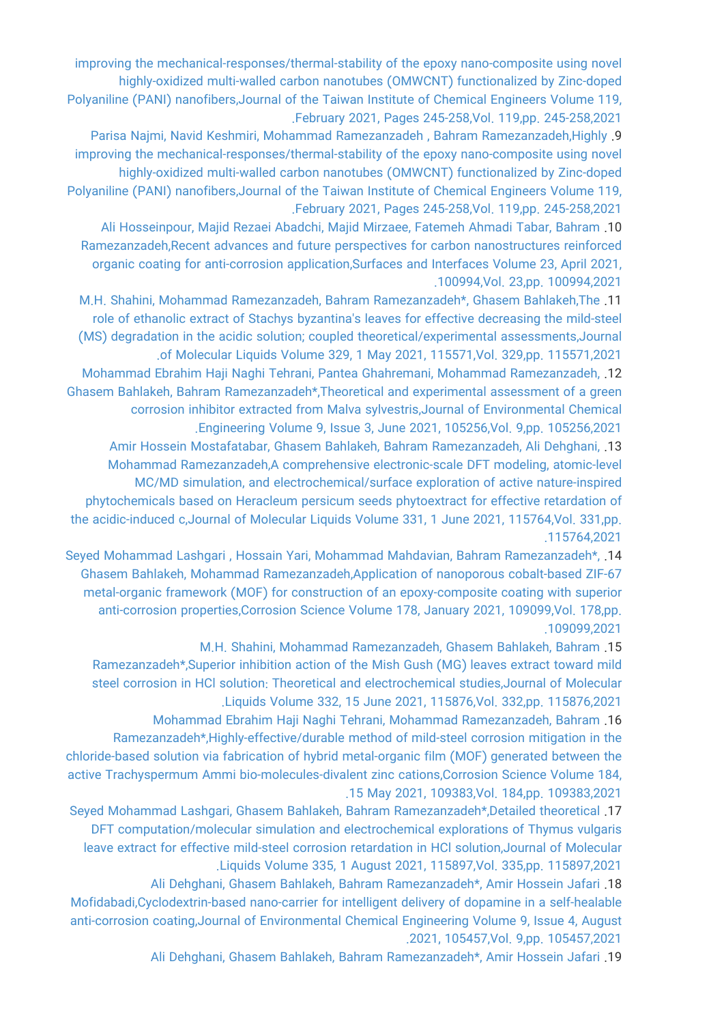[improving the mechanical-responses/thermal-stability of the epoxy nano-composite using novel](https://faculty.icrc.ac.ir/bahram-ramezanzadeh/fa/articlesInPublications/902/highly-improving-the-mechanical-responses-thermal-stability-of-the-epoxy-nano-composite-using-novel-highly-oxidized-multi-walled-carbon-nanotubes-omwcnt-functionalized-by-zinc-doped-polyaniline-pani-nanofibers) [highly-oxidized multi-walled carbon nanotubes \(OMWCNT\) functionalized by Zinc-doped](https://faculty.icrc.ac.ir/bahram-ramezanzadeh/fa/articlesInPublications/902/highly-improving-the-mechanical-responses-thermal-stability-of-the-epoxy-nano-composite-using-novel-highly-oxidized-multi-walled-carbon-nanotubes-omwcnt-functionalized-by-zinc-doped-polyaniline-pani-nanofibers) [Polyaniline \(PANI\) nanofibers,Journal of the Taiwan Institute of Chemical Engineers Volume 119,](https://faculty.icrc.ac.ir/bahram-ramezanzadeh/fa/articlesInPublications/902/highly-improving-the-mechanical-responses-thermal-stability-of-the-epoxy-nano-composite-using-novel-highly-oxidized-multi-walled-carbon-nanotubes-omwcnt-functionalized-by-zinc-doped-polyaniline-pani-nanofibers) [.February 2021, Pages 245-258,Vol. 119,pp. 245-258,2021](https://faculty.icrc.ac.ir/bahram-ramezanzadeh/fa/articlesInPublications/902/highly-improving-the-mechanical-responses-thermal-stability-of-the-epoxy-nano-composite-using-novel-highly-oxidized-multi-walled-carbon-nanotubes-omwcnt-functionalized-by-zinc-doped-polyaniline-pani-nanofibers)

[Parisa Najmi, Navid Keshmiri, Mohammad Ramezanzadeh , Bahram Ramezanzadeh,Highly](https://faculty.icrc.ac.ir/bahram-ramezanzadeh/fa/articlesInPublications/903/highly-improving-the-mechanical-responses-thermal-stability-of-the-epoxy-nano-composite-using-novel-highly-oxidized-multi-walled-carbon-nanotubes-omwcnt-functionalized-by-zinc-doped-polyaniline-pani-nanofibers) .9 [improving the mechanical-responses/thermal-stability of the epoxy nano-composite using novel](https://faculty.icrc.ac.ir/bahram-ramezanzadeh/fa/articlesInPublications/903/highly-improving-the-mechanical-responses-thermal-stability-of-the-epoxy-nano-composite-using-novel-highly-oxidized-multi-walled-carbon-nanotubes-omwcnt-functionalized-by-zinc-doped-polyaniline-pani-nanofibers) [highly-oxidized multi-walled carbon nanotubes \(OMWCNT\) functionalized by Zinc-doped](https://faculty.icrc.ac.ir/bahram-ramezanzadeh/fa/articlesInPublications/903/highly-improving-the-mechanical-responses-thermal-stability-of-the-epoxy-nano-composite-using-novel-highly-oxidized-multi-walled-carbon-nanotubes-omwcnt-functionalized-by-zinc-doped-polyaniline-pani-nanofibers) [Polyaniline \(PANI\) nanofibers,Journal of the Taiwan Institute of Chemical Engineers Volume 119,](https://faculty.icrc.ac.ir/bahram-ramezanzadeh/fa/articlesInPublications/903/highly-improving-the-mechanical-responses-thermal-stability-of-the-epoxy-nano-composite-using-novel-highly-oxidized-multi-walled-carbon-nanotubes-omwcnt-functionalized-by-zinc-doped-polyaniline-pani-nanofibers) [.February 2021, Pages 245-258,Vol. 119,pp. 245-258,2021](https://faculty.icrc.ac.ir/bahram-ramezanzadeh/fa/articlesInPublications/903/highly-improving-the-mechanical-responses-thermal-stability-of-the-epoxy-nano-composite-using-novel-highly-oxidized-multi-walled-carbon-nanotubes-omwcnt-functionalized-by-zinc-doped-polyaniline-pani-nanofibers)

[Ali Hosseinpour, Majid Rezaei Abadchi, Majid Mirzaee, Fatemeh Ahmadi Tabar, Bahram](https://faculty.icrc.ac.ir/bahram-ramezanzadeh/fa/articlesInPublications/904/recent-advances-and-future-perspectives-for-carbon-nanostructures-reinforced-organic-coating-for-anti-corrosion-application) .10 [Ramezanzadeh,Recent advances and future perspectives for carbon nanostructures reinforced](https://faculty.icrc.ac.ir/bahram-ramezanzadeh/fa/articlesInPublications/904/recent-advances-and-future-perspectives-for-carbon-nanostructures-reinforced-organic-coating-for-anti-corrosion-application) [organic coating for anti-corrosion application,Surfaces and Interfaces Volume 23, April 2021,](https://faculty.icrc.ac.ir/bahram-ramezanzadeh/fa/articlesInPublications/904/recent-advances-and-future-perspectives-for-carbon-nanostructures-reinforced-organic-coating-for-anti-corrosion-application) [.100994,Vol. 23,pp. 100994,2021](https://faculty.icrc.ac.ir/bahram-ramezanzadeh/fa/articlesInPublications/904/recent-advances-and-future-perspectives-for-carbon-nanostructures-reinforced-organic-coating-for-anti-corrosion-application)

[M.H. Shahini, Mohammad Ramezanzadeh, Bahram Ramezanzadeh\\*, Ghasem Bahlakeh,The](https://faculty.icrc.ac.ir/bahram-ramezanzadeh/fa/articlesInPublications/905/the-role-of-ethanolic-extract-of-stachys-byzantina-s-leaves-for-effective-decreasing-the-mild-steel-ms-degradation-in-the-acidic-solution-coupled-theoretical-experimental-assessments) .11 [role of ethanolic extract of Stachys byzantina's leaves for effective decreasing the mild-steel](https://faculty.icrc.ac.ir/bahram-ramezanzadeh/fa/articlesInPublications/905/the-role-of-ethanolic-extract-of-stachys-byzantina-s-leaves-for-effective-decreasing-the-mild-steel-ms-degradation-in-the-acidic-solution-coupled-theoretical-experimental-assessments) [\(MS\) degradation in the acidic solution; coupled theoretical/experimental assessments,Journal](https://faculty.icrc.ac.ir/bahram-ramezanzadeh/fa/articlesInPublications/905/the-role-of-ethanolic-extract-of-stachys-byzantina-s-leaves-for-effective-decreasing-the-mild-steel-ms-degradation-in-the-acidic-solution-coupled-theoretical-experimental-assessments) [.of Molecular Liquids Volume 329, 1 May 2021, 115571,Vol. 329,pp. 115571,2021](https://faculty.icrc.ac.ir/bahram-ramezanzadeh/fa/articlesInPublications/905/the-role-of-ethanolic-extract-of-stachys-byzantina-s-leaves-for-effective-decreasing-the-mild-steel-ms-degradation-in-the-acidic-solution-coupled-theoretical-experimental-assessments)

[Mohammad Ebrahim Haji Naghi Tehrani, Pantea Ghahremani, Mohammad Ramezanzadeh,](https://faculty.icrc.ac.ir/bahram-ramezanzadeh/fa/articlesInPublications/906/theoretical-and-experimental-assessment-of-a-green-corrosion-inhibitor-extracted-from-malva-sylvestris) .12 [Ghasem Bahlakeh, Bahram Ramezanzadeh\\*,Theoretical and experimental assessment of a green](https://faculty.icrc.ac.ir/bahram-ramezanzadeh/fa/articlesInPublications/906/theoretical-and-experimental-assessment-of-a-green-corrosion-inhibitor-extracted-from-malva-sylvestris) [corrosion inhibitor extracted from Malva sylvestris,Journal of Environmental Chemical](https://faculty.icrc.ac.ir/bahram-ramezanzadeh/fa/articlesInPublications/906/theoretical-and-experimental-assessment-of-a-green-corrosion-inhibitor-extracted-from-malva-sylvestris) [.Engineering Volume 9, Issue 3, June 2021, 105256,Vol. 9,pp. 105256,2021](https://faculty.icrc.ac.ir/bahram-ramezanzadeh/fa/articlesInPublications/906/theoretical-and-experimental-assessment-of-a-green-corrosion-inhibitor-extracted-from-malva-sylvestris)

[Amir Hossein Mostafatabar, Ghasem Bahlakeh, Bahram Ramezanzadeh, Ali Dehghani,](https://faculty.icrc.ac.ir/bahram-ramezanzadeh/fa/articlesInPublications/907/a-comprehensive-electronic-scale-dft-modeling-atomic-level-mc-md-simulation-and-electrochemical-surface-exploration-of-active-nature-inspired-phytochemicals-based-on-heracleum-persicum-seeds-phytoextract-for-effective-retardation-of-the-acidic-induced-c) .13 [Mohammad Ramezanzadeh,A comprehensive electronic-scale DFT modeling, atomic-level](https://faculty.icrc.ac.ir/bahram-ramezanzadeh/fa/articlesInPublications/907/a-comprehensive-electronic-scale-dft-modeling-atomic-level-mc-md-simulation-and-electrochemical-surface-exploration-of-active-nature-inspired-phytochemicals-based-on-heracleum-persicum-seeds-phytoextract-for-effective-retardation-of-the-acidic-induced-c) [MC/MD simulation, and electrochemical/surface exploration of active nature-inspired](https://faculty.icrc.ac.ir/bahram-ramezanzadeh/fa/articlesInPublications/907/a-comprehensive-electronic-scale-dft-modeling-atomic-level-mc-md-simulation-and-electrochemical-surface-exploration-of-active-nature-inspired-phytochemicals-based-on-heracleum-persicum-seeds-phytoextract-for-effective-retardation-of-the-acidic-induced-c) [phytochemicals based on Heracleum persicum seeds phytoextract for effective retardation of](https://faculty.icrc.ac.ir/bahram-ramezanzadeh/fa/articlesInPublications/907/a-comprehensive-electronic-scale-dft-modeling-atomic-level-mc-md-simulation-and-electrochemical-surface-exploration-of-active-nature-inspired-phytochemicals-based-on-heracleum-persicum-seeds-phytoextract-for-effective-retardation-of-the-acidic-induced-c) [the acidic-induced c,Journal of Molecular Liquids Volume 331, 1 June 2021, 115764,Vol. 331,pp.](https://faculty.icrc.ac.ir/bahram-ramezanzadeh/fa/articlesInPublications/907/a-comprehensive-electronic-scale-dft-modeling-atomic-level-mc-md-simulation-and-electrochemical-surface-exploration-of-active-nature-inspired-phytochemicals-based-on-heracleum-persicum-seeds-phytoextract-for-effective-retardation-of-the-acidic-induced-c) [.115764,2021](https://faculty.icrc.ac.ir/bahram-ramezanzadeh/fa/articlesInPublications/907/a-comprehensive-electronic-scale-dft-modeling-atomic-level-mc-md-simulation-and-electrochemical-surface-exploration-of-active-nature-inspired-phytochemicals-based-on-heracleum-persicum-seeds-phytoextract-for-effective-retardation-of-the-acidic-induced-c)

[Seyed Mohammad Lashgari , Hossain Yari, Mohammad Mahdavian, Bahram Ramezanzadeh\\*,](https://faculty.icrc.ac.ir/bahram-ramezanzadeh/fa/articlesInPublications/895/application-of-nanoporous-cobalt-based-zif-67-metal-organic-framework-mof-for-construction-of-an-epoxy-composite-coating-with-superior-anti-corrosion-properties) .14 [Ghasem Bahlakeh, Mohammad Ramezanzadeh,Application of nanoporous cobalt-based ZIF-67](https://faculty.icrc.ac.ir/bahram-ramezanzadeh/fa/articlesInPublications/895/application-of-nanoporous-cobalt-based-zif-67-metal-organic-framework-mof-for-construction-of-an-epoxy-composite-coating-with-superior-anti-corrosion-properties) [metal-organic framework \(MOF\) for construction of an epoxy-composite coating with superior](https://faculty.icrc.ac.ir/bahram-ramezanzadeh/fa/articlesInPublications/895/application-of-nanoporous-cobalt-based-zif-67-metal-organic-framework-mof-for-construction-of-an-epoxy-composite-coating-with-superior-anti-corrosion-properties) [anti-corrosion properties,Corrosion Science Volume 178, January 2021, 109099,Vol. 178,pp.](https://faculty.icrc.ac.ir/bahram-ramezanzadeh/fa/articlesInPublications/895/application-of-nanoporous-cobalt-based-zif-67-metal-organic-framework-mof-for-construction-of-an-epoxy-composite-coating-with-superior-anti-corrosion-properties) [.109099,2021](https://faculty.icrc.ac.ir/bahram-ramezanzadeh/fa/articlesInPublications/895/application-of-nanoporous-cobalt-based-zif-67-metal-organic-framework-mof-for-construction-of-an-epoxy-composite-coating-with-superior-anti-corrosion-properties)

[M.H. Shahini, Mohammad Ramezanzadeh, Ghasem Bahlakeh, Bahram](https://faculty.icrc.ac.ir/bahram-ramezanzadeh/fa/articlesInPublications/909/superior-inhibition-action-of-the-mish-gush-mg-leaves-extract-toward-mild-steel-corrosion-in-hcl-solution-theoretical-and-electrochemical-studies) .15

[Ramezanzadeh\\*,Superior inhibition action of the Mish Gush \(MG\) leaves extract toward mild](https://faculty.icrc.ac.ir/bahram-ramezanzadeh/fa/articlesInPublications/909/superior-inhibition-action-of-the-mish-gush-mg-leaves-extract-toward-mild-steel-corrosion-in-hcl-solution-theoretical-and-electrochemical-studies) [steel corrosion in HCl solution: Theoretical and electrochemical studies,Journal of Molecular](https://faculty.icrc.ac.ir/bahram-ramezanzadeh/fa/articlesInPublications/909/superior-inhibition-action-of-the-mish-gush-mg-leaves-extract-toward-mild-steel-corrosion-in-hcl-solution-theoretical-and-electrochemical-studies) [.Liquids Volume 332, 15 June 2021, 115876,Vol. 332,pp. 115876,2021](https://faculty.icrc.ac.ir/bahram-ramezanzadeh/fa/articlesInPublications/909/superior-inhibition-action-of-the-mish-gush-mg-leaves-extract-toward-mild-steel-corrosion-in-hcl-solution-theoretical-and-electrochemical-studies)

[Mohammad Ebrahim Haji Naghi Tehrani, Mohammad Ramezanzadeh, Bahram](https://faculty.icrc.ac.ir/bahram-ramezanzadeh/fa/articlesInPublications/910/highly-effective-durable-method-of-mild-steel-corrosion-mitigation-in-the-chloride-based-solution-via-fabrication-of-hybrid-metal-organic-film-mof-generated-between-the-active-trachyspermum-ammi-bio-molecules-divalent-zinc-cations) .16 [Ramezanzadeh\\*,Highly-effective/durable method of mild-steel corrosion mitigation in the](https://faculty.icrc.ac.ir/bahram-ramezanzadeh/fa/articlesInPublications/910/highly-effective-durable-method-of-mild-steel-corrosion-mitigation-in-the-chloride-based-solution-via-fabrication-of-hybrid-metal-organic-film-mof-generated-between-the-active-trachyspermum-ammi-bio-molecules-divalent-zinc-cations) [chloride-based solution via fabrication of hybrid metal-organic film \(MOF\) generated between the](https://faculty.icrc.ac.ir/bahram-ramezanzadeh/fa/articlesInPublications/910/highly-effective-durable-method-of-mild-steel-corrosion-mitigation-in-the-chloride-based-solution-via-fabrication-of-hybrid-metal-organic-film-mof-generated-between-the-active-trachyspermum-ammi-bio-molecules-divalent-zinc-cations) [active Trachyspermum Ammi bio-molecules-divalent zinc cations,Corrosion Science Volume 184,](https://faculty.icrc.ac.ir/bahram-ramezanzadeh/fa/articlesInPublications/910/highly-effective-durable-method-of-mild-steel-corrosion-mitigation-in-the-chloride-based-solution-via-fabrication-of-hybrid-metal-organic-film-mof-generated-between-the-active-trachyspermum-ammi-bio-molecules-divalent-zinc-cations) [.15 May 2021, 109383,Vol. 184,pp. 109383,2021](https://faculty.icrc.ac.ir/bahram-ramezanzadeh/fa/articlesInPublications/910/highly-effective-durable-method-of-mild-steel-corrosion-mitigation-in-the-chloride-based-solution-via-fabrication-of-hybrid-metal-organic-film-mof-generated-between-the-active-trachyspermum-ammi-bio-molecules-divalent-zinc-cations)

[Seyed Mohammad Lashgari, Ghasem Bahlakeh, Bahram Ramezanzadeh\\*,Detailed theoretical](https://faculty.icrc.ac.ir/bahram-ramezanzadeh/fa/articlesInPublications/911/detailed-theoretical-dft-computation-molecular-simulation-and-electrochemical-explorations-of-thymus-vulgaris-leave-extract-for-effective-mild-steel-corrosion-retardation-in-hcl-solution) .17 [DFT computation/molecular simulation and electrochemical explorations of Thymus vulgaris](https://faculty.icrc.ac.ir/bahram-ramezanzadeh/fa/articlesInPublications/911/detailed-theoretical-dft-computation-molecular-simulation-and-electrochemical-explorations-of-thymus-vulgaris-leave-extract-for-effective-mild-steel-corrosion-retardation-in-hcl-solution) [leave extract for effective mild-steel corrosion retardation in HCl solution,Journal of Molecular](https://faculty.icrc.ac.ir/bahram-ramezanzadeh/fa/articlesInPublications/911/detailed-theoretical-dft-computation-molecular-simulation-and-electrochemical-explorations-of-thymus-vulgaris-leave-extract-for-effective-mild-steel-corrosion-retardation-in-hcl-solution) [.Liquids Volume 335, 1 August 2021, 115897,Vol. 335,pp. 115897,2021](https://faculty.icrc.ac.ir/bahram-ramezanzadeh/fa/articlesInPublications/911/detailed-theoretical-dft-computation-molecular-simulation-and-electrochemical-explorations-of-thymus-vulgaris-leave-extract-for-effective-mild-steel-corrosion-retardation-in-hcl-solution)

[Ali Dehghani, Ghasem Bahlakeh, Bahram Ramezanzadeh\\*, Amir Hossein Jafari](https://faculty.icrc.ac.ir/bahram-ramezanzadeh/fa/articlesInPublications/912/cyclodextrin-based-nano-carrier-for-intelligent-delivery-of-dopamine-in-a-self-healable-anti-corrosion-coating) .18 [Mofidabadi,Cyclodextrin-based nano-carrier for intelligent delivery of dopamine in a self-healable](https://faculty.icrc.ac.ir/bahram-ramezanzadeh/fa/articlesInPublications/912/cyclodextrin-based-nano-carrier-for-intelligent-delivery-of-dopamine-in-a-self-healable-anti-corrosion-coating) [anti-corrosion coating,Journal of Environmental Chemical Engineering Volume 9, Issue 4, August](https://faculty.icrc.ac.ir/bahram-ramezanzadeh/fa/articlesInPublications/912/cyclodextrin-based-nano-carrier-for-intelligent-delivery-of-dopamine-in-a-self-healable-anti-corrosion-coating) [.2021, 105457,Vol. 9,pp. 105457,2021](https://faculty.icrc.ac.ir/bahram-ramezanzadeh/fa/articlesInPublications/912/cyclodextrin-based-nano-carrier-for-intelligent-delivery-of-dopamine-in-a-self-healable-anti-corrosion-coating)

[Ali Dehghani, Ghasem Bahlakeh, Bahram Ramezanzadeh\\*, Amir Hossein Jafari](https://faculty.icrc.ac.ir/bahram-ramezanzadeh/fa/articlesInPublications/913/improvement-of-the-anti-corrosion-ability-of-a-silane-film-with-cyclodextrin-based-nanocontainer-loaded-with-l-histidine-coupled-experimental-and-simulations-studies) .19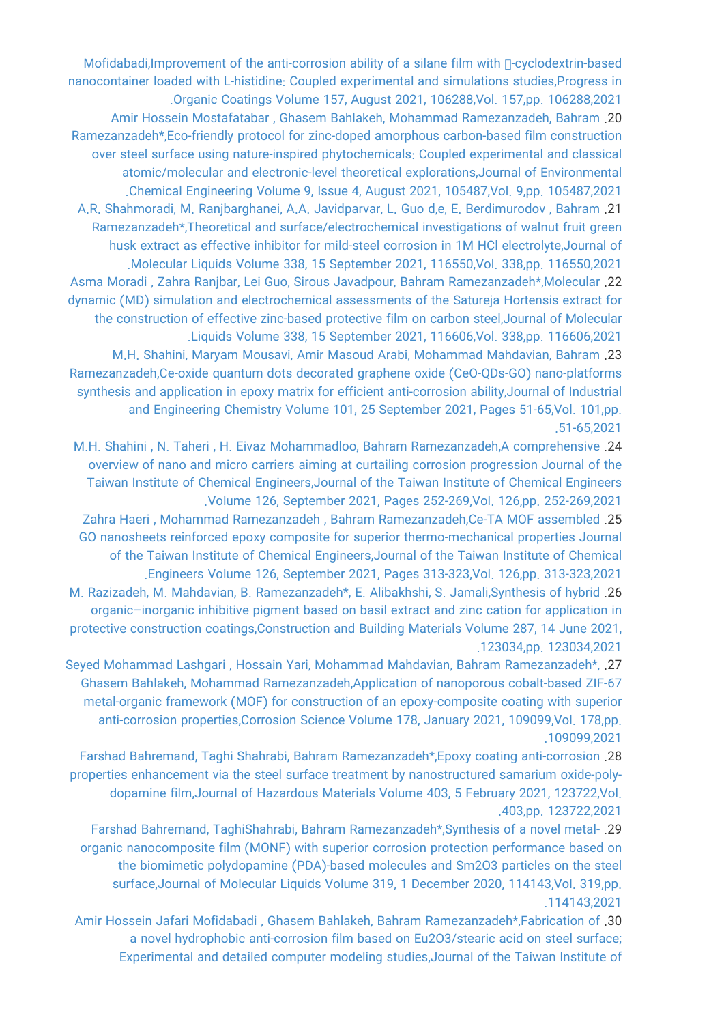Mofidabadi,Improvement of the anti-corrosion ability of a silane film with <sub>R</sub>-cyclodextrin-based [nanocontainer loaded with L-histidine: Coupled experimental and simulations studies,Progress in](https://faculty.icrc.ac.ir/bahram-ramezanzadeh/fa/articlesInPublications/913/improvement-of-the-anti-corrosion-ability-of-a-silane-film-with-cyclodextrin-based-nanocontainer-loaded-with-l-histidine-coupled-experimental-and-simulations-studies) [.Organic Coatings Volume 157, August 2021, 106288,Vol. 157,pp. 106288,2021](https://faculty.icrc.ac.ir/bahram-ramezanzadeh/fa/articlesInPublications/913/improvement-of-the-anti-corrosion-ability-of-a-silane-film-with-cyclodextrin-based-nanocontainer-loaded-with-l-histidine-coupled-experimental-and-simulations-studies) [Amir Hossein Mostafatabar , Ghasem Bahlakeh, Mohammad Ramezanzadeh, Bahram](https://faculty.icrc.ac.ir/bahram-ramezanzadeh/fa/articlesInPublications/914/eco-friendly-protocol-for-zinc-doped-amorphous-carbon-based-film-construction-over-steel-surface-using-nature-inspired-phytochemicals-coupled-experimental-and-classical-atomic-molecular-and-electronic-level-theoretical-explorations) .20 [Ramezanzadeh\\*,Eco-friendly protocol for zinc-doped amorphous carbon-based film construction](https://faculty.icrc.ac.ir/bahram-ramezanzadeh/fa/articlesInPublications/914/eco-friendly-protocol-for-zinc-doped-amorphous-carbon-based-film-construction-over-steel-surface-using-nature-inspired-phytochemicals-coupled-experimental-and-classical-atomic-molecular-and-electronic-level-theoretical-explorations) [over steel surface using nature-inspired phytochemicals: Coupled experimental and classical](https://faculty.icrc.ac.ir/bahram-ramezanzadeh/fa/articlesInPublications/914/eco-friendly-protocol-for-zinc-doped-amorphous-carbon-based-film-construction-over-steel-surface-using-nature-inspired-phytochemicals-coupled-experimental-and-classical-atomic-molecular-and-electronic-level-theoretical-explorations) [atomic/molecular and electronic-level theoretical explorations,Journal of Environmental](https://faculty.icrc.ac.ir/bahram-ramezanzadeh/fa/articlesInPublications/914/eco-friendly-protocol-for-zinc-doped-amorphous-carbon-based-film-construction-over-steel-surface-using-nature-inspired-phytochemicals-coupled-experimental-and-classical-atomic-molecular-and-electronic-level-theoretical-explorations) [.Chemical Engineering Volume 9, Issue 4, August 2021, 105487,Vol. 9,pp. 105487,2021](https://faculty.icrc.ac.ir/bahram-ramezanzadeh/fa/articlesInPublications/914/eco-friendly-protocol-for-zinc-doped-amorphous-carbon-based-film-construction-over-steel-surface-using-nature-inspired-phytochemicals-coupled-experimental-and-classical-atomic-molecular-and-electronic-level-theoretical-explorations) [A.R. Shahmoradi, M. Ranjbarghanei, A.A. Javidparvar, L. Guo d,e, E. Berdimurodov , Bahram](https://faculty.icrc.ac.ir/bahram-ramezanzadeh/fa/articlesInPublications/915/theoretical-and-surface-electrochemical-investigations-of-walnut-fruit-green-husk-extract-as-effective-inhibitor-for-mild-steel-corrosion-in-1m-hcl-electrolyte) .21 [Ramezanzadeh\\*,Theoretical and surface/electrochemical investigations of walnut fruit green](https://faculty.icrc.ac.ir/bahram-ramezanzadeh/fa/articlesInPublications/915/theoretical-and-surface-electrochemical-investigations-of-walnut-fruit-green-husk-extract-as-effective-inhibitor-for-mild-steel-corrosion-in-1m-hcl-electrolyte) [husk extract as effective inhibitor for mild-steel corrosion in 1M HCl electrolyte,Journal of](https://faculty.icrc.ac.ir/bahram-ramezanzadeh/fa/articlesInPublications/915/theoretical-and-surface-electrochemical-investigations-of-walnut-fruit-green-husk-extract-as-effective-inhibitor-for-mild-steel-corrosion-in-1m-hcl-electrolyte) [.Molecular Liquids Volume 338, 15 September 2021, 116550,Vol. 338,pp. 116550,2021](https://faculty.icrc.ac.ir/bahram-ramezanzadeh/fa/articlesInPublications/915/theoretical-and-surface-electrochemical-investigations-of-walnut-fruit-green-husk-extract-as-effective-inhibitor-for-mild-steel-corrosion-in-1m-hcl-electrolyte) [Asma Moradi , Zahra Ranjbar, Lei Guo, Sirous Javadpour, Bahram Ramezanzadeh\\*,Molecular](https://faculty.icrc.ac.ir/bahram-ramezanzadeh/fa/articlesInPublications/916/molecular-dynamic-md-simulation-and-electrochemical-assessments-of-the-satureja-hortensis-extract-for-the-construction-of-effective-zinc-based-protective-film-on-carbon-steel) .22 [dynamic \(MD\) simulation and electrochemical assessments of the Satureja Hortensis extract for](https://faculty.icrc.ac.ir/bahram-ramezanzadeh/fa/articlesInPublications/916/molecular-dynamic-md-simulation-and-electrochemical-assessments-of-the-satureja-hortensis-extract-for-the-construction-of-effective-zinc-based-protective-film-on-carbon-steel) [the construction of effective zinc-based protective film on carbon steel,Journal of Molecular](https://faculty.icrc.ac.ir/bahram-ramezanzadeh/fa/articlesInPublications/916/molecular-dynamic-md-simulation-and-electrochemical-assessments-of-the-satureja-hortensis-extract-for-the-construction-of-effective-zinc-based-protective-film-on-carbon-steel) [.Liquids Volume 338, 15 September 2021, 116606,Vol. 338,pp. 116606,2021](https://faculty.icrc.ac.ir/bahram-ramezanzadeh/fa/articlesInPublications/916/molecular-dynamic-md-simulation-and-electrochemical-assessments-of-the-satureja-hortensis-extract-for-the-construction-of-effective-zinc-based-protective-film-on-carbon-steel) [M.H. Shahini, Maryam Mousavi, Amir Masoud Arabi, Mohammad Mahdavian, Bahram](https://faculty.icrc.ac.ir/bahram-ramezanzadeh/fa/articlesInPublications/917/ce-oxide-quantum-dots-decorated-graphene-oxide-ceo-qds-go-nano-platforms-synthesis-and-application-in-epoxy-matrix-for-efficient-anti-corrosion-ability) .23 [Ramezanzadeh,Ce-oxide quantum dots decorated graphene oxide \(CeO-QDs-GO\) nano-platforms](https://faculty.icrc.ac.ir/bahram-ramezanzadeh/fa/articlesInPublications/917/ce-oxide-quantum-dots-decorated-graphene-oxide-ceo-qds-go-nano-platforms-synthesis-and-application-in-epoxy-matrix-for-efficient-anti-corrosion-ability) [synthesis and application in epoxy matrix for efficient anti-corrosion ability,Journal of Industrial](https://faculty.icrc.ac.ir/bahram-ramezanzadeh/fa/articlesInPublications/917/ce-oxide-quantum-dots-decorated-graphene-oxide-ceo-qds-go-nano-platforms-synthesis-and-application-in-epoxy-matrix-for-efficient-anti-corrosion-ability) [and Engineering Chemistry Volume 101, 25 September 2021, Pages 51-65,Vol. 101,pp.](https://faculty.icrc.ac.ir/bahram-ramezanzadeh/fa/articlesInPublications/917/ce-oxide-quantum-dots-decorated-graphene-oxide-ceo-qds-go-nano-platforms-synthesis-and-application-in-epoxy-matrix-for-efficient-anti-corrosion-ability) [.51-65,2021](https://faculty.icrc.ac.ir/bahram-ramezanzadeh/fa/articlesInPublications/917/ce-oxide-quantum-dots-decorated-graphene-oxide-ceo-qds-go-nano-platforms-synthesis-and-application-in-epoxy-matrix-for-efficient-anti-corrosion-ability)

[M.H. Shahini , N. Taheri , H. Eivaz Mohammadloo, Bahram Ramezanzadeh,A comprehensive](https://faculty.icrc.ac.ir/bahram-ramezanzadeh/fa/articlesInPublications/918/a-comprehensive-overview-of-nano-and-micro-carriers-aiming-at-curtailing-corrosion-progression-journal-of-the-taiwan-institute-of-chemical-engineers) .24 [overview of nano and micro carriers aiming at curtailing corrosion progression Journal of the](https://faculty.icrc.ac.ir/bahram-ramezanzadeh/fa/articlesInPublications/918/a-comprehensive-overview-of-nano-and-micro-carriers-aiming-at-curtailing-corrosion-progression-journal-of-the-taiwan-institute-of-chemical-engineers) [Taiwan Institute of Chemical Engineers,Journal of the Taiwan Institute of Chemical Engineers](https://faculty.icrc.ac.ir/bahram-ramezanzadeh/fa/articlesInPublications/918/a-comprehensive-overview-of-nano-and-micro-carriers-aiming-at-curtailing-corrosion-progression-journal-of-the-taiwan-institute-of-chemical-engineers) [.Volume 126, September 2021, Pages 252-269,Vol. 126,pp. 252-269,2021](https://faculty.icrc.ac.ir/bahram-ramezanzadeh/fa/articlesInPublications/918/a-comprehensive-overview-of-nano-and-micro-carriers-aiming-at-curtailing-corrosion-progression-journal-of-the-taiwan-institute-of-chemical-engineers)

[Zahra Haeri , Mohammad Ramezanzadeh , Bahram Ramezanzadeh,Ce-TA MOF assembled](https://faculty.icrc.ac.ir/bahram-ramezanzadeh/fa/articlesInPublications/919/ce-ta-mof-assembled-go-nanosheets-reinforced-epoxy-composite-for-superior-thermo-mechanical-properties-journal-of-the-taiwan-institute-of-chemical-engineers) .25 [GO nanosheets reinforced epoxy composite for superior thermo-mechanical properties Journal](https://faculty.icrc.ac.ir/bahram-ramezanzadeh/fa/articlesInPublications/919/ce-ta-mof-assembled-go-nanosheets-reinforced-epoxy-composite-for-superior-thermo-mechanical-properties-journal-of-the-taiwan-institute-of-chemical-engineers) [of the Taiwan Institute of Chemical Engineers,Journal of the Taiwan Institute of Chemical](https://faculty.icrc.ac.ir/bahram-ramezanzadeh/fa/articlesInPublications/919/ce-ta-mof-assembled-go-nanosheets-reinforced-epoxy-composite-for-superior-thermo-mechanical-properties-journal-of-the-taiwan-institute-of-chemical-engineers) [.Engineers Volume 126, September 2021, Pages 313-323,Vol. 126,pp. 313-323,2021](https://faculty.icrc.ac.ir/bahram-ramezanzadeh/fa/articlesInPublications/919/ce-ta-mof-assembled-go-nanosheets-reinforced-epoxy-composite-for-superior-thermo-mechanical-properties-journal-of-the-taiwan-institute-of-chemical-engineers)

[M. Razizadeh, M. Mahdavian, B. Ramezanzadeh\\*, E. Alibakhshi, S. Jamali,Synthesis of hybrid](https://faculty.icrc.ac.ir/bahram-ramezanzadeh/fa/articlesInPublications/920/synthesis-of-hybrid-organic-inorganic-inhibitive-pigment-based-on-basil-extract-and-zinc-cation-for-application-in-protective-construction-coatings) .26 [organic–inorganic inhibitive pigment based on basil extract and zinc cation for application in](https://faculty.icrc.ac.ir/bahram-ramezanzadeh/fa/articlesInPublications/920/synthesis-of-hybrid-organic-inorganic-inhibitive-pigment-based-on-basil-extract-and-zinc-cation-for-application-in-protective-construction-coatings) [protective construction coatings,Construction and Building Materials Volume 287, 14 June 2021,](https://faculty.icrc.ac.ir/bahram-ramezanzadeh/fa/articlesInPublications/920/synthesis-of-hybrid-organic-inorganic-inhibitive-pigment-based-on-basil-extract-and-zinc-cation-for-application-in-protective-construction-coatings) [.123034,pp. 123034,2021](https://faculty.icrc.ac.ir/bahram-ramezanzadeh/fa/articlesInPublications/920/synthesis-of-hybrid-organic-inorganic-inhibitive-pigment-based-on-basil-extract-and-zinc-cation-for-application-in-protective-construction-coatings)

[Seyed Mohammad Lashgari , Hossain Yari, Mohammad Mahdavian, Bahram Ramezanzadeh\\*,](https://faculty.icrc.ac.ir/bahram-ramezanzadeh/fa/articlesInPublications/894/application-of-nanoporous-cobalt-based-zif-67-metal-organic-framework-mof-for-construction-of-an-epoxy-composite-coating-with-superior-anti-corrosion-properties) .27 [Ghasem Bahlakeh, Mohammad Ramezanzadeh,Application of nanoporous cobalt-based ZIF-67](https://faculty.icrc.ac.ir/bahram-ramezanzadeh/fa/articlesInPublications/894/application-of-nanoporous-cobalt-based-zif-67-metal-organic-framework-mof-for-construction-of-an-epoxy-composite-coating-with-superior-anti-corrosion-properties) [metal-organic framework \(MOF\) for construction of an epoxy-composite coating with superior](https://faculty.icrc.ac.ir/bahram-ramezanzadeh/fa/articlesInPublications/894/application-of-nanoporous-cobalt-based-zif-67-metal-organic-framework-mof-for-construction-of-an-epoxy-composite-coating-with-superior-anti-corrosion-properties) [anti-corrosion properties,Corrosion Science Volume 178, January 2021, 109099,Vol. 178,pp.](https://faculty.icrc.ac.ir/bahram-ramezanzadeh/fa/articlesInPublications/894/application-of-nanoporous-cobalt-based-zif-67-metal-organic-framework-mof-for-construction-of-an-epoxy-composite-coating-with-superior-anti-corrosion-properties) [.109099,2021](https://faculty.icrc.ac.ir/bahram-ramezanzadeh/fa/articlesInPublications/894/application-of-nanoporous-cobalt-based-zif-67-metal-organic-framework-mof-for-construction-of-an-epoxy-composite-coating-with-superior-anti-corrosion-properties)

[Farshad Bahremand, Taghi Shahrabi, Bahram Ramezanzadeh\\*,Epoxy coating anti-corrosion](https://faculty.icrc.ac.ir/bahram-ramezanzadeh/fa/articlesInPublications/880/epoxy-coating-anti-corrosion-properties-enhancement-via-the-steel-surface-treatment-by-nanostructured-samarium-oxide-poly-dopamine-film) .28 [properties enhancement via the steel surface treatment by nanostructured samarium oxide-poly](https://faculty.icrc.ac.ir/bahram-ramezanzadeh/fa/articlesInPublications/880/epoxy-coating-anti-corrosion-properties-enhancement-via-the-steel-surface-treatment-by-nanostructured-samarium-oxide-poly-dopamine-film)[dopamine film,Journal of Hazardous Materials Volume 403, 5 February 2021, 123722,Vol.](https://faculty.icrc.ac.ir/bahram-ramezanzadeh/fa/articlesInPublications/880/epoxy-coating-anti-corrosion-properties-enhancement-via-the-steel-surface-treatment-by-nanostructured-samarium-oxide-poly-dopamine-film) [.403,pp. 123722,2021](https://faculty.icrc.ac.ir/bahram-ramezanzadeh/fa/articlesInPublications/880/epoxy-coating-anti-corrosion-properties-enhancement-via-the-steel-surface-treatment-by-nanostructured-samarium-oxide-poly-dopamine-film)

[Farshad Bahremand, TaghiShahrabi, Bahram Ramezanzadeh\\*,Synthesis of a novel metal-](https://faculty.icrc.ac.ir/bahram-ramezanzadeh/fa/articlesInPublications/881/synthesis-of-a-novel-metal-organic-nanocomposite-film-monf-with-superior-corrosion-protection-performance-based-on-the-biomimetic-polydopamine-pda-based-molecules-and-sm2o3-particles-on-the-steel-surface) .29 [organic nanocomposite film \(MONF\) with superior corrosion protection performance based on](https://faculty.icrc.ac.ir/bahram-ramezanzadeh/fa/articlesInPublications/881/synthesis-of-a-novel-metal-organic-nanocomposite-film-monf-with-superior-corrosion-protection-performance-based-on-the-biomimetic-polydopamine-pda-based-molecules-and-sm2o3-particles-on-the-steel-surface) [the biomimetic polydopamine \(PDA\)-based molecules and Sm2O3 particles on the steel](https://faculty.icrc.ac.ir/bahram-ramezanzadeh/fa/articlesInPublications/881/synthesis-of-a-novel-metal-organic-nanocomposite-film-monf-with-superior-corrosion-protection-performance-based-on-the-biomimetic-polydopamine-pda-based-molecules-and-sm2o3-particles-on-the-steel-surface) [surface,Journal of Molecular Liquids Volume 319, 1 December 2020, 114143,Vol. 319,pp.](https://faculty.icrc.ac.ir/bahram-ramezanzadeh/fa/articlesInPublications/881/synthesis-of-a-novel-metal-organic-nanocomposite-film-monf-with-superior-corrosion-protection-performance-based-on-the-biomimetic-polydopamine-pda-based-molecules-and-sm2o3-particles-on-the-steel-surface) [.114143,2021](https://faculty.icrc.ac.ir/bahram-ramezanzadeh/fa/articlesInPublications/881/synthesis-of-a-novel-metal-organic-nanocomposite-film-monf-with-superior-corrosion-protection-performance-based-on-the-biomimetic-polydopamine-pda-based-molecules-and-sm2o3-particles-on-the-steel-surface)

[Amir Hossein Jafari Mofidabadi , Ghasem Bahlakeh, Bahram Ramezanzadeh\\*,Fabrication of](https://faculty.icrc.ac.ir/bahram-ramezanzadeh/fa/articlesInPublications/882/fabrication-of-a-novel-hydrophobic-anti-corrosion-film-based-on-eu2o3-stearic-acid-on-steel-surface-experimental-and-detailed-computer-modeling-studies) .30 [a novel hydrophobic anti-corrosion film based on Eu2O3/stearic acid on steel surface;](https://faculty.icrc.ac.ir/bahram-ramezanzadeh/fa/articlesInPublications/882/fabrication-of-a-novel-hydrophobic-anti-corrosion-film-based-on-eu2o3-stearic-acid-on-steel-surface-experimental-and-detailed-computer-modeling-studies) [Experimental and detailed computer modeling studies,Journal of the Taiwan Institute of](https://faculty.icrc.ac.ir/bahram-ramezanzadeh/fa/articlesInPublications/882/fabrication-of-a-novel-hydrophobic-anti-corrosion-film-based-on-eu2o3-stearic-acid-on-steel-surface-experimental-and-detailed-computer-modeling-studies)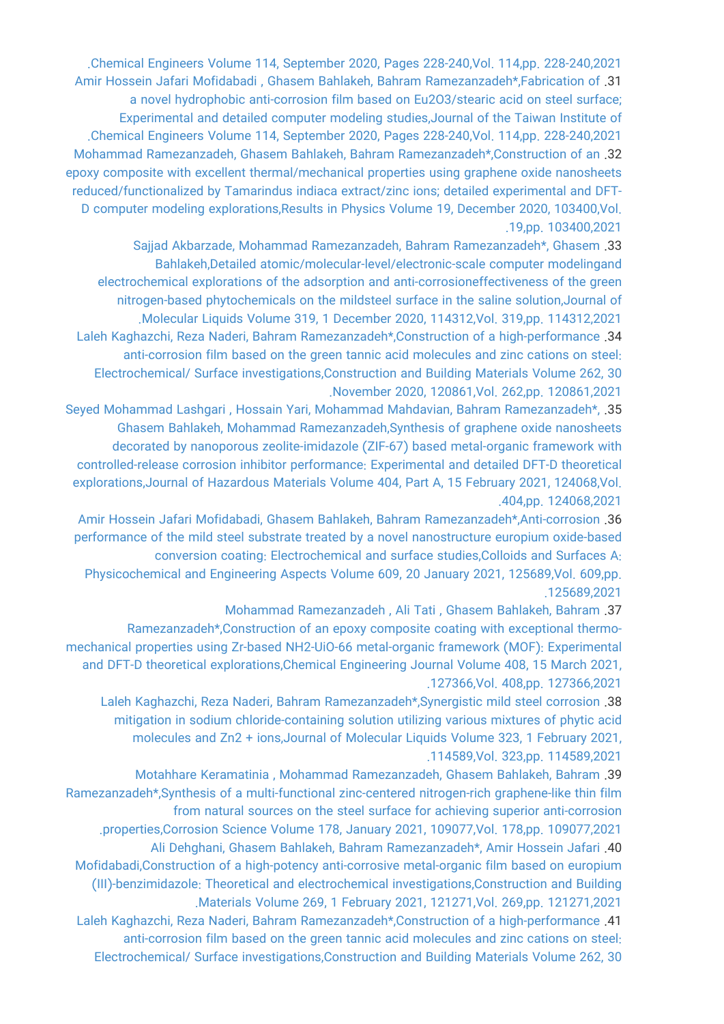[.Chemical Engineers Volume 114, September 2020, Pages 228-240,Vol. 114,pp. 228-240,2021](https://faculty.icrc.ac.ir/bahram-ramezanzadeh/fa/articlesInPublications/882/fabrication-of-a-novel-hydrophobic-anti-corrosion-film-based-on-eu2o3-stearic-acid-on-steel-surface-experimental-and-detailed-computer-modeling-studies) [Amir Hossein Jafari Mofidabadi , Ghasem Bahlakeh, Bahram Ramezanzadeh\\*,Fabrication of](https://faculty.icrc.ac.ir/bahram-ramezanzadeh/fa/articlesInPublications/883/fabrication-of-a-novel-hydrophobic-anti-corrosion-film-based-on-eu2o3-stearic-acid-on-steel-surface-experimental-and-detailed-computer-modeling-studies) .31 [a novel hydrophobic anti-corrosion film based on Eu2O3/stearic acid on steel surface;](https://faculty.icrc.ac.ir/bahram-ramezanzadeh/fa/articlesInPublications/883/fabrication-of-a-novel-hydrophobic-anti-corrosion-film-based-on-eu2o3-stearic-acid-on-steel-surface-experimental-and-detailed-computer-modeling-studies) [Experimental and detailed computer modeling studies,Journal of the Taiwan Institute of](https://faculty.icrc.ac.ir/bahram-ramezanzadeh/fa/articlesInPublications/883/fabrication-of-a-novel-hydrophobic-anti-corrosion-film-based-on-eu2o3-stearic-acid-on-steel-surface-experimental-and-detailed-computer-modeling-studies) [.Chemical Engineers Volume 114, September 2020, Pages 228-240,Vol. 114,pp. 228-240,2021](https://faculty.icrc.ac.ir/bahram-ramezanzadeh/fa/articlesInPublications/883/fabrication-of-a-novel-hydrophobic-anti-corrosion-film-based-on-eu2o3-stearic-acid-on-steel-surface-experimental-and-detailed-computer-modeling-studies) [Mohammad Ramezanzadeh, Ghasem Bahlakeh, Bahram Ramezanzadeh\\*,Construction of an](https://faculty.icrc.ac.ir/bahram-ramezanzadeh/fa/articlesInPublications/884/construction-of-an-epoxy-composite-with-excellent-thermal-mechanical-properties-using-graphene-oxide-nanosheets-reduced-functionalized-by-tamarindus-indiaca-extract-zinc-ions-detailed-experimental-and-dft-d-computer-modeling-explorations) .32 [epoxy composite with excellent thermal/mechanical properties using graphene oxide nanosheets](https://faculty.icrc.ac.ir/bahram-ramezanzadeh/fa/articlesInPublications/884/construction-of-an-epoxy-composite-with-excellent-thermal-mechanical-properties-using-graphene-oxide-nanosheets-reduced-functionalized-by-tamarindus-indiaca-extract-zinc-ions-detailed-experimental-and-dft-d-computer-modeling-explorations) [reduced/functionalized by Tamarindus indiaca extract/zinc ions; detailed experimental and DFT-](https://faculty.icrc.ac.ir/bahram-ramezanzadeh/fa/articlesInPublications/884/construction-of-an-epoxy-composite-with-excellent-thermal-mechanical-properties-using-graphene-oxide-nanosheets-reduced-functionalized-by-tamarindus-indiaca-extract-zinc-ions-detailed-experimental-and-dft-d-computer-modeling-explorations)[D computer modeling explorations,Results in Physics Volume 19, December 2020, 103400,Vol.](https://faculty.icrc.ac.ir/bahram-ramezanzadeh/fa/articlesInPublications/884/construction-of-an-epoxy-composite-with-excellent-thermal-mechanical-properties-using-graphene-oxide-nanosheets-reduced-functionalized-by-tamarindus-indiaca-extract-zinc-ions-detailed-experimental-and-dft-d-computer-modeling-explorations) [.19,pp. 103400,2021](https://faculty.icrc.ac.ir/bahram-ramezanzadeh/fa/articlesInPublications/884/construction-of-an-epoxy-composite-with-excellent-thermal-mechanical-properties-using-graphene-oxide-nanosheets-reduced-functionalized-by-tamarindus-indiaca-extract-zinc-ions-detailed-experimental-and-dft-d-computer-modeling-explorations)

[Sajjad Akbarzade, Mohammad Ramezanzadeh, Bahram Ramezanzadeh\\*, Ghasem](https://faculty.icrc.ac.ir/bahram-ramezanzadeh/fa/articlesInPublications/885/detailed-atomic-molecular-level-electronic-scale-computer-modelingand-electrochemical-explorations-of-the-adsorption-and-anti-corrosioneffectiveness-of-the-green-nitrogen-based-phytochemicals-on-the-mildsteel-surface-in-the-saline-solution) .33 [Bahlakeh,Detailed atomic/molecular-level/electronic-scale computer modelingand](https://faculty.icrc.ac.ir/bahram-ramezanzadeh/fa/articlesInPublications/885/detailed-atomic-molecular-level-electronic-scale-computer-modelingand-electrochemical-explorations-of-the-adsorption-and-anti-corrosioneffectiveness-of-the-green-nitrogen-based-phytochemicals-on-the-mildsteel-surface-in-the-saline-solution) [electrochemical explorations of the adsorption and anti-corrosioneffectiveness of the green](https://faculty.icrc.ac.ir/bahram-ramezanzadeh/fa/articlesInPublications/885/detailed-atomic-molecular-level-electronic-scale-computer-modelingand-electrochemical-explorations-of-the-adsorption-and-anti-corrosioneffectiveness-of-the-green-nitrogen-based-phytochemicals-on-the-mildsteel-surface-in-the-saline-solution) [nitrogen-based phytochemicals on the mildsteel surface in the saline solution,Journal of](https://faculty.icrc.ac.ir/bahram-ramezanzadeh/fa/articlesInPublications/885/detailed-atomic-molecular-level-electronic-scale-computer-modelingand-electrochemical-explorations-of-the-adsorption-and-anti-corrosioneffectiveness-of-the-green-nitrogen-based-phytochemicals-on-the-mildsteel-surface-in-the-saline-solution) [.Molecular Liquids Volume 319, 1 December 2020, 114312,Vol. 319,pp. 114312,2021](https://faculty.icrc.ac.ir/bahram-ramezanzadeh/fa/articlesInPublications/885/detailed-atomic-molecular-level-electronic-scale-computer-modelingand-electrochemical-explorations-of-the-adsorption-and-anti-corrosioneffectiveness-of-the-green-nitrogen-based-phytochemicals-on-the-mildsteel-surface-in-the-saline-solution) [Laleh Kaghazchi, Reza Naderi, Bahram Ramezanzadeh\\*,Construction of a high-performance](https://faculty.icrc.ac.ir/bahram-ramezanzadeh/fa/articlesInPublications/886/construction-of-a-high-performance-anti-corrosion-film-based-on-the-green-tannic-acid-molecules-and-zinc-cations-on-steel-electrochemical-surface-investigations) .34 [anti-corrosion film based on the green tannic acid molecules and zinc cations on steel:](https://faculty.icrc.ac.ir/bahram-ramezanzadeh/fa/articlesInPublications/886/construction-of-a-high-performance-anti-corrosion-film-based-on-the-green-tannic-acid-molecules-and-zinc-cations-on-steel-electrochemical-surface-investigations) [Electrochemical/ Surface investigations,Construction and Building Materials Volume 262, 30](https://faculty.icrc.ac.ir/bahram-ramezanzadeh/fa/articlesInPublications/886/construction-of-a-high-performance-anti-corrosion-film-based-on-the-green-tannic-acid-molecules-and-zinc-cations-on-steel-electrochemical-surface-investigations) [.November 2020, 120861,Vol. 262,pp. 120861,2021](https://faculty.icrc.ac.ir/bahram-ramezanzadeh/fa/articlesInPublications/886/construction-of-a-high-performance-anti-corrosion-film-based-on-the-green-tannic-acid-molecules-and-zinc-cations-on-steel-electrochemical-surface-investigations)

[Seyed Mohammad Lashgari , Hossain Yari, Mohammad Mahdavian, Bahram Ramezanzadeh\\*,](https://faculty.icrc.ac.ir/bahram-ramezanzadeh/fa/articlesInPublications/888/synthesis-of-graphene-oxide-nanosheets-decorated-by-nanoporous-zeolite-imidazole-zif-67-based-metal-organic-framework-with-controlled-release-corrosion-inhibitor-performance-experimental-and-detailed-dft-d-theoretical-explorations) .35 [Ghasem Bahlakeh, Mohammad Ramezanzadeh,Synthesis of graphene oxide nanosheets](https://faculty.icrc.ac.ir/bahram-ramezanzadeh/fa/articlesInPublications/888/synthesis-of-graphene-oxide-nanosheets-decorated-by-nanoporous-zeolite-imidazole-zif-67-based-metal-organic-framework-with-controlled-release-corrosion-inhibitor-performance-experimental-and-detailed-dft-d-theoretical-explorations) [decorated by nanoporous zeolite-imidazole \(ZIF-67\) based metal-organic framework with](https://faculty.icrc.ac.ir/bahram-ramezanzadeh/fa/articlesInPublications/888/synthesis-of-graphene-oxide-nanosheets-decorated-by-nanoporous-zeolite-imidazole-zif-67-based-metal-organic-framework-with-controlled-release-corrosion-inhibitor-performance-experimental-and-detailed-dft-d-theoretical-explorations) [controlled-release corrosion inhibitor performance: Experimental and detailed DFT-D theoretical](https://faculty.icrc.ac.ir/bahram-ramezanzadeh/fa/articlesInPublications/888/synthesis-of-graphene-oxide-nanosheets-decorated-by-nanoporous-zeolite-imidazole-zif-67-based-metal-organic-framework-with-controlled-release-corrosion-inhibitor-performance-experimental-and-detailed-dft-d-theoretical-explorations) [explorations,Journal of Hazardous Materials Volume 404, Part A, 15 February 2021, 124068,Vol.](https://faculty.icrc.ac.ir/bahram-ramezanzadeh/fa/articlesInPublications/888/synthesis-of-graphene-oxide-nanosheets-decorated-by-nanoporous-zeolite-imidazole-zif-67-based-metal-organic-framework-with-controlled-release-corrosion-inhibitor-performance-experimental-and-detailed-dft-d-theoretical-explorations) [.404,pp. 124068,2021](https://faculty.icrc.ac.ir/bahram-ramezanzadeh/fa/articlesInPublications/888/synthesis-of-graphene-oxide-nanosheets-decorated-by-nanoporous-zeolite-imidazole-zif-67-based-metal-organic-framework-with-controlled-release-corrosion-inhibitor-performance-experimental-and-detailed-dft-d-theoretical-explorations)

[Amir Hossein Jafari Mofidabadi, Ghasem Bahlakeh, Bahram Ramezanzadeh\\*,Anti-corrosion](https://faculty.icrc.ac.ir/bahram-ramezanzadeh/fa/articlesInPublications/889/anti-corrosion-performance-of-the-mild-steel-substrate-treated-by-a-novel-nanostructure-europium-oxide-based-conversion-coating-electrochemical-and-surface-studies) .36 [performance of the mild steel substrate treated by a novel nanostructure europium oxide-based](https://faculty.icrc.ac.ir/bahram-ramezanzadeh/fa/articlesInPublications/889/anti-corrosion-performance-of-the-mild-steel-substrate-treated-by-a-novel-nanostructure-europium-oxide-based-conversion-coating-electrochemical-and-surface-studies) [conversion coating: Electrochemical and surface studies,Colloids and Surfaces A:](https://faculty.icrc.ac.ir/bahram-ramezanzadeh/fa/articlesInPublications/889/anti-corrosion-performance-of-the-mild-steel-substrate-treated-by-a-novel-nanostructure-europium-oxide-based-conversion-coating-electrochemical-and-surface-studies) [Physicochemical and Engineering Aspects Volume 609, 20 January 2021, 125689,Vol. 609,pp.](https://faculty.icrc.ac.ir/bahram-ramezanzadeh/fa/articlesInPublications/889/anti-corrosion-performance-of-the-mild-steel-substrate-treated-by-a-novel-nanostructure-europium-oxide-based-conversion-coating-electrochemical-and-surface-studies) [.125689,2021](https://faculty.icrc.ac.ir/bahram-ramezanzadeh/fa/articlesInPublications/889/anti-corrosion-performance-of-the-mild-steel-substrate-treated-by-a-novel-nanostructure-europium-oxide-based-conversion-coating-electrochemical-and-surface-studies)

[Mohammad Ramezanzadeh , Ali Tati , Ghasem Bahlakeh, Bahram](https://faculty.icrc.ac.ir/bahram-ramezanzadeh/fa/articlesInPublications/890/construction-of-an-epoxy-composite-coating-with-exceptional-thermo-mechanical-properties-using-zr-based-nh2-uio-66-metal-organic-framework-mof-experimental-and-dft-d-theoretical-explorations) .37

[Ramezanzadeh\\*,Construction of an epoxy composite coating with exceptional thermo](https://faculty.icrc.ac.ir/bahram-ramezanzadeh/fa/articlesInPublications/890/construction-of-an-epoxy-composite-coating-with-exceptional-thermo-mechanical-properties-using-zr-based-nh2-uio-66-metal-organic-framework-mof-experimental-and-dft-d-theoretical-explorations)[mechanical properties using Zr-based NH2-UiO-66 metal-organic framework \(MOF\): Experimental](https://faculty.icrc.ac.ir/bahram-ramezanzadeh/fa/articlesInPublications/890/construction-of-an-epoxy-composite-coating-with-exceptional-thermo-mechanical-properties-using-zr-based-nh2-uio-66-metal-organic-framework-mof-experimental-and-dft-d-theoretical-explorations) [and DFT-D theoretical explorations,Chemical Engineering Journal Volume 408, 15 March 2021,](https://faculty.icrc.ac.ir/bahram-ramezanzadeh/fa/articlesInPublications/890/construction-of-an-epoxy-composite-coating-with-exceptional-thermo-mechanical-properties-using-zr-based-nh2-uio-66-metal-organic-framework-mof-experimental-and-dft-d-theoretical-explorations) [.127366,Vol. 408,pp. 127366,2021](https://faculty.icrc.ac.ir/bahram-ramezanzadeh/fa/articlesInPublications/890/construction-of-an-epoxy-composite-coating-with-exceptional-thermo-mechanical-properties-using-zr-based-nh2-uio-66-metal-organic-framework-mof-experimental-and-dft-d-theoretical-explorations)

[Laleh Kaghazchi, Reza Naderi, Bahram Ramezanzadeh\\*,Synergistic mild steel corrosion](https://faculty.icrc.ac.ir/bahram-ramezanzadeh/fa/articlesInPublications/891/synergistic-mild-steel-corrosion-mitigation-in-sodium-chloride-containing-solution-utilizing-various-mixtures-of-phytic-acid-molecules-and-zn2-ions) .38 [mitigation in sodium chloride-containing solution utilizing various mixtures of phytic acid](https://faculty.icrc.ac.ir/bahram-ramezanzadeh/fa/articlesInPublications/891/synergistic-mild-steel-corrosion-mitigation-in-sodium-chloride-containing-solution-utilizing-various-mixtures-of-phytic-acid-molecules-and-zn2-ions) [molecules and Zn2 + ions,Journal of Molecular Liquids Volume 323, 1 February 2021,](https://faculty.icrc.ac.ir/bahram-ramezanzadeh/fa/articlesInPublications/891/synergistic-mild-steel-corrosion-mitigation-in-sodium-chloride-containing-solution-utilizing-various-mixtures-of-phytic-acid-molecules-and-zn2-ions) [.114589,Vol. 323,pp. 114589,2021](https://faculty.icrc.ac.ir/bahram-ramezanzadeh/fa/articlesInPublications/891/synergistic-mild-steel-corrosion-mitigation-in-sodium-chloride-containing-solution-utilizing-various-mixtures-of-phytic-acid-molecules-and-zn2-ions)

[Motahhare Keramatinia , Mohammad Ramezanzadeh, Ghasem Bahlakeh, Bahram](https://faculty.icrc.ac.ir/bahram-ramezanzadeh/fa/articlesInPublications/892/synthesis-of-a-multi-functional-zinc-centered-nitrogen-rich-graphene-like-thin-film-from-natural-sources-on-the-steel-surface-for-achieving-superior-anti-corrosion-properties) .39 [Ramezanzadeh\\*,Synthesis of a multi-functional zinc-centered nitrogen-rich graphene-like thin film](https://faculty.icrc.ac.ir/bahram-ramezanzadeh/fa/articlesInPublications/892/synthesis-of-a-multi-functional-zinc-centered-nitrogen-rich-graphene-like-thin-film-from-natural-sources-on-the-steel-surface-for-achieving-superior-anti-corrosion-properties) [from natural sources on the steel surface for achieving superior anti-corrosion](https://faculty.icrc.ac.ir/bahram-ramezanzadeh/fa/articlesInPublications/892/synthesis-of-a-multi-functional-zinc-centered-nitrogen-rich-graphene-like-thin-film-from-natural-sources-on-the-steel-surface-for-achieving-superior-anti-corrosion-properties) [.properties,Corrosion Science Volume 178, January 2021, 109077,Vol. 178,pp. 109077,2021](https://faculty.icrc.ac.ir/bahram-ramezanzadeh/fa/articlesInPublications/892/synthesis-of-a-multi-functional-zinc-centered-nitrogen-rich-graphene-like-thin-film-from-natural-sources-on-the-steel-surface-for-achieving-superior-anti-corrosion-properties) [Ali Dehghani, Ghasem Bahlakeh, Bahram Ramezanzadeh\\*, Amir Hossein Jafari](https://faculty.icrc.ac.ir/bahram-ramezanzadeh/fa/articlesInPublications/893/construction-of-a-high-potency-anti-corrosive-metal-organic-film-based-on-europium-iii-benzimidazole-theoretical-and-electrochemical-investigations) .40 [Mofidabadi,Construction of a high-potency anti-corrosive metal-organic film based on europium](https://faculty.icrc.ac.ir/bahram-ramezanzadeh/fa/articlesInPublications/893/construction-of-a-high-potency-anti-corrosive-metal-organic-film-based-on-europium-iii-benzimidazole-theoretical-and-electrochemical-investigations) [\(III\)-benzimidazole: Theoretical and electrochemical investigations,Construction and Building](https://faculty.icrc.ac.ir/bahram-ramezanzadeh/fa/articlesInPublications/893/construction-of-a-high-potency-anti-corrosive-metal-organic-film-based-on-europium-iii-benzimidazole-theoretical-and-electrochemical-investigations) [.Materials Volume 269, 1 February 2021, 121271,Vol. 269,pp. 121271,2021](https://faculty.icrc.ac.ir/bahram-ramezanzadeh/fa/articlesInPublications/893/construction-of-a-high-potency-anti-corrosive-metal-organic-film-based-on-europium-iii-benzimidazole-theoretical-and-electrochemical-investigations) [Laleh Kaghazchi, Reza Naderi, Bahram Ramezanzadeh\\*,Construction of a high-performance](https://faculty.icrc.ac.ir/bahram-ramezanzadeh/fa/articlesInPublications/887/construction-of-a-high-performance-anti-corrosion-film-based-on-the-green-tannic-acid-molecules-and-zinc-cations-on-steel-electrochemical-surface-investigations) .41

[anti-corrosion film based on the green tannic acid molecules and zinc cations on steel:](https://faculty.icrc.ac.ir/bahram-ramezanzadeh/fa/articlesInPublications/887/construction-of-a-high-performance-anti-corrosion-film-based-on-the-green-tannic-acid-molecules-and-zinc-cations-on-steel-electrochemical-surface-investigations) [Electrochemical/ Surface investigations,Construction and Building Materials Volume 262, 30](https://faculty.icrc.ac.ir/bahram-ramezanzadeh/fa/articlesInPublications/887/construction-of-a-high-performance-anti-corrosion-film-based-on-the-green-tannic-acid-molecules-and-zinc-cations-on-steel-electrochemical-surface-investigations)